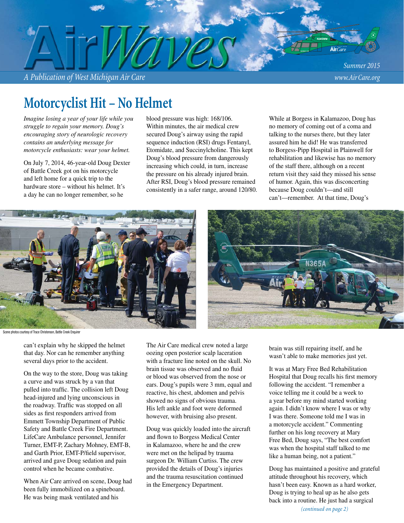*A Publication of West Michigan Air Care www.Air Care.org*

*Summer 2015*

# **Motorcyclist Hit – No Helmet**

*Imagine losing a year of your life while you struggle to regain your memory. Doug's encouraging story of neurologic recovery contains an underlying message for motorcycle enthusiasts: wear your helmet.*

On July 7, 2014, 46-year-old Doug Dexter of Battle Creek got on his motorcycle and left home for a quick trip to the hardware store – without his helmet. It's a day he can no longer remember, so he

blood pressure was high: 168/106. Within minutes, the air medical crew secured Doug's airway using the rapid sequence induction (RSI) drugs Fentanyl, Etomidate, and Succinylcholine. This kept Doug's blood pressure from dangerously increasing which could, in turn, increase the pressure on his already injured brain. After RSI, Doug's blood pressure remained consistently in a safer range, around 120/80.

While at Borgess in Kalamazoo, Doug has no memory of coming out of a coma and talking to the nurses there, but they later assured him he did! He was transferred to Borgess-Pipp Hospital in Plainwell for rehabilitation and likewise has no memory of the staff there, although on a recent return visit they said they missed his sense of humor. Again, this was disconcerting because Doug couldn't—and still can't—remember. At that time, Doug's





Scene photos courtesy of Trace Christenson, Battle Creek Enquirer

can't explain why he skipped the helmet that day. Nor can he remember anything several days prior to the accident.

On the way to the store, Doug was taking a curve and was struck by a van that pulled into traffic. The collision left Doug head-injured and lying unconscious in the roadway. Traffic was stopped on all sides as first responders arrived from Emmett Township Department of Public Safety and Battle Creek Fire Department. LifeCare Ambulance personnel, Jennifer Turner, EMT-P, Zachary Mohney, EMT-B, and Garth Prior, EMT-P/field supervisor, arrived and gave Doug sedation and pain control when he became combative.

When Air Care arrived on scene, Doug had been fully immobilized on a spineboard. He was being mask ventilated and his

The Air Care medical crew noted a large oozing open posterior scalp laceration with a fracture line noted on the skull. No brain tissue was observed and no fluid or blood was observed from the nose or ears. Doug's pupils were 3 mm, equal and reactive, his chest, abdomen and pelvis showed no signs of obvious trauma. His left ankle and foot were deformed however, with bruising also present.

Doug was quickly loaded into the aircraft and flown to Borgess Medical Center in Kalamazoo, where he and the crew were met on the helipad by trauma surgeon Dr. William Curtiss. The crew provided the details of Doug's injuries and the trauma resuscitation continued in the Emergency Department.

brain was still repairing itself, and he wasn't able to make memories just yet.

It was at Mary Free Bed Rehabilitation Hospital that Doug recalls his first memory following the accident. "I remember a voice telling me it could be a week to a year before my mind started working again. I didn't know where I was or why I was there. Someone told me I was in a motorcycle accident." Commenting further on his long recovery at Mary Free Bed, Doug says, "The best comfort was when the hospital staff talked to me like a human being, not a patient."

*(continued on page 2)* Doug has maintained a positive and grateful attitude throughout his recovery, which hasn't been easy. Known as a hard worker, Doug is trying to heal up as he also gets back into a routine. He just had a surgical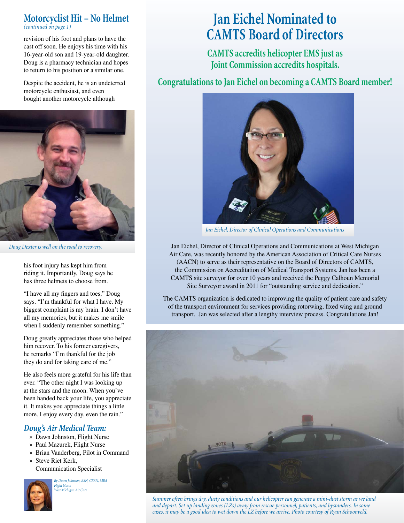### **Motorcyclist Hit – No Helmet** *(continued on page 1)*

revision of his foot and plans to have the cast off soon. He enjoys his time with his 16-year-old son and 19-year-old daughter. Doug is a pharmacy technician and hopes to return to his position or a similar one.

Despite the accident, he is an undeterred motorcycle enthusiast, and even bought another motorcycle although



*Doug Dexter is well on the road to recovery.*

his foot injury has kept him from riding it. Importantly, Doug says he has three helmets to choose from.

"I have all my fingers and toes," Doug says. "I'm thankful for what I have. My biggest complaint is my brain. I don't have all my memories, but it makes me smile when I suddenly remember something."

Doug greatly appreciates those who helped him recover. To his former caregivers, he remarks "I'm thankful for the job they do and for taking care of me."

He also feels more grateful for his life than ever. "The other night I was looking up at the stars and the moon. When you've been handed back your life, you appreciate it. It makes you appreciate things a little more. I enjoy every day, even the rain."

### *Doug's Air Medical Team:*

- » Dawn Johnston, Flight Nurse
- » Paul Mazurek, Flight Nurse
- » Brian Vanderberg, Pilot in Command
- » Steve Riet Kerk, Communication Specialist

*By Dawn Johnston, BSN, CFRN, MBA Flight Nurse West Michigan Air Care*

# **Jan Eichel Nominated to CAMTS Board of Directors**

**CAMTS accredits helicopter EMS just as Joint Commission accredits hospitals.** 

**Congratulations to Jan Eichel on becoming a CAMTS Board member!**



*Jan Eichel, Director of Clinical Operations and Communications*

Jan Eichel, Director of Clinical Operations and Communications at West Michigan Air Care, was recently honored by the American Association of Critical Care Nurses (AACN) to serve as their representative on the Board of Directors of CAMTS, the Commission on Accreditation of Medical Transport Systems. Jan has been a CAMTS site surveyor for over 10 years and received the Peggy Calhoun Memorial Site Surveyor award in 2011 for "outstanding service and dedication."

The CAMTS organization is dedicated to improving the quality of patient care and safety of the transport environment for services providing rotorwing, fi xed wing and ground transport. Jan was selected after a lengthy interview process. Congratulations Jan!



*Summer often brings dry, dusty conditions and our helicopter can generate a mini-dust storm as we land and depart. Set up landing zones (LZs) away from rescue personnel, patients, and bystanders. In some cases, it may be a good idea to wet down the LZ before we arrive. Photo courtesy of Ryan Schoonveld.*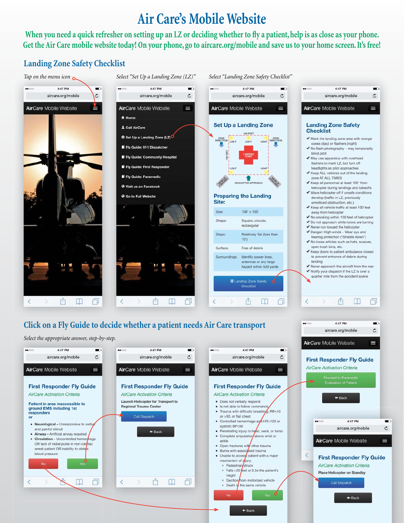# **Air Care's Mobile Website**

When you need a quick refresher on setting up an LZ or deciding whether to fly a patient, help is as close as your phone. **Get the Air Care mobile website today! On your phone, go to aircare.org/mobile and save us to your home screen. It's free!**

### **Landing Zone Safety Checklist**

**No** 

₹

门

 $\langle$ 

Ů

 $\mathbb{R}$ 

巾

 $\Box$ 



o Pedestrian struck

height o Ejection

o Falls >20 eet or 2.5x the patient's

o Death in the same vehicle

 $+$  Back

rom motorized vehicle

**First Responder Fly Guide** AirCare Activation Criteria **Place Helicopter on Standby** Call Dispatch

 $+$  Back